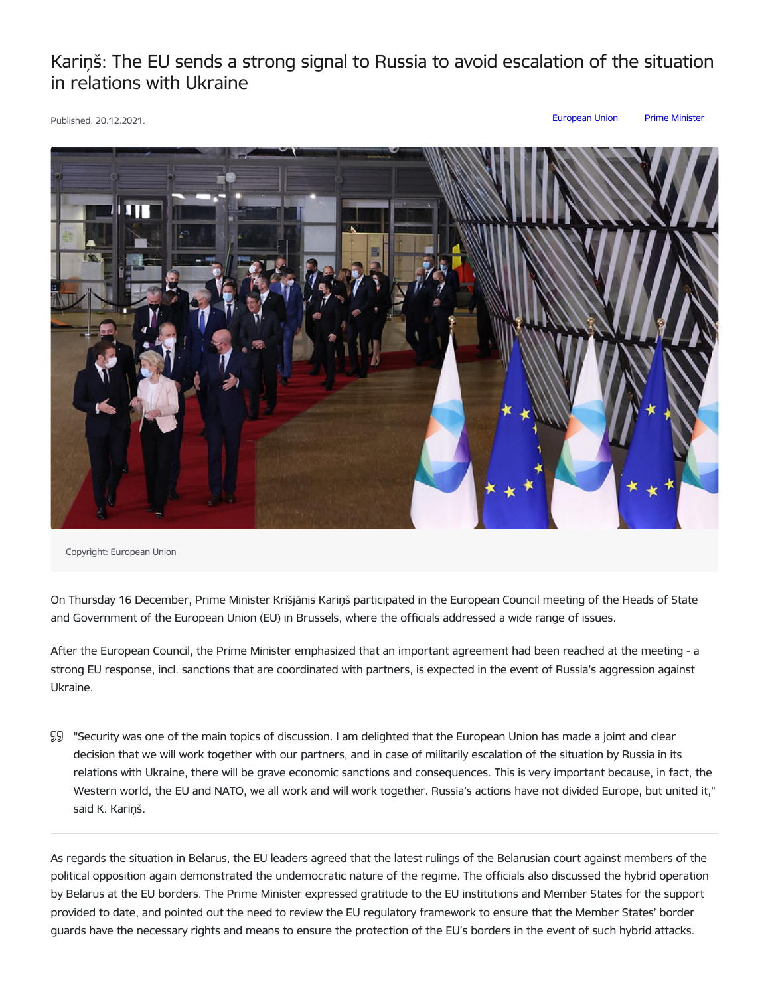## Kariņš: The EU sends a strong signal to Russia to avoid escalation of the situation in relations with Ukraine

Published: 20.12.2021. [European](https://www.mk.gov.lv/en/articles?category%255B207%255D=207) Union Prime [Minister](https://www.mk.gov.lv/en/articles?category%255B146%255D=146)



Copyright: European Union

On Thursday 16 December, Prime Minister Krišjānis Kariņš participated in the European Council meeting of the Heads of State and Government of the European Union (EU) in Brussels, where the officials addressed a wide range of issues.

After the European Council, the Prime Minister emphasized that an important agreement had been reached at the meeting - a strong EU response, incl. sanctions that are coordinated with partners, is expected in the event of Russia's aggression against Ukraine.

"Security was one of the main topics of discussion. I am delighted that the European Union has made a joint and clear decision that we will work together with our partners, and in case of militarily escalation of the situation by Russia in its relations with Ukraine, there will be grave economic sanctions and consequences. This is very important because, in fact, the Western world, the EU and NATO, we all work and will work together. Russia's actions have not divided Europe, but united it," said K. Kariņš.

As regards the situation in Belarus, the EU leaders agreed that the latest rulings of the Belarusian court against members of the political opposition again demonstrated the undemocratic nature of the regime. The officials also discussed the hybrid operation by Belarus at the EU borders. The Prime Minister expressed gratitude to the EU institutions and Member States for the support provided to date, and pointed out the need to review the EU regulatory framework to ensure that the Member States' border guards have the necessary rights and means to ensure the protection of the EU's borders in the event of such hybrid attacks.